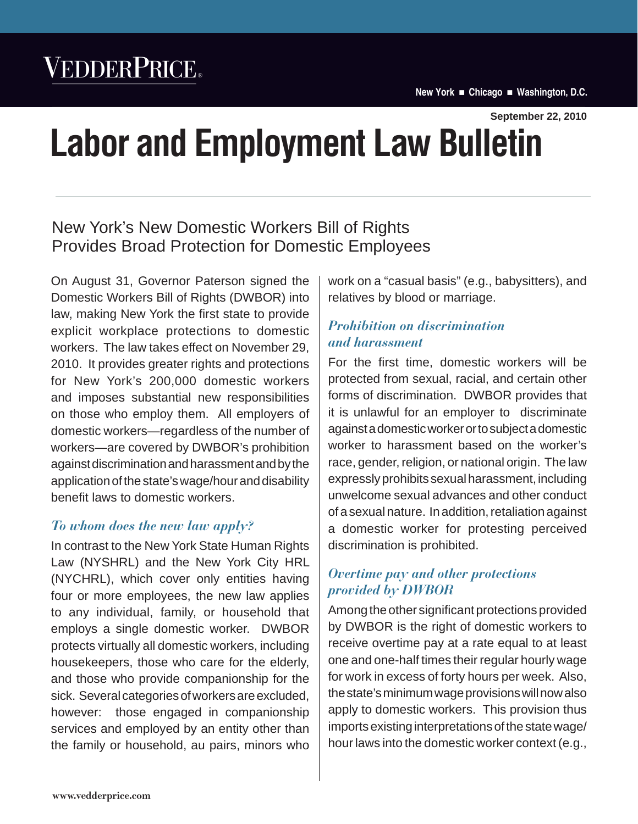# VEDDERPRICE®

**New York Chicago Washington, D.C.**

**September 22, 2010**

# **Labor and Employment Law Bulletin**

# New York's New Domestic Workers Bill of Rights Provides Broad Protection for Domestic Employees

On August 31, Governor Paterson signed the Domestic Workers Bill of Rights (DWBOR) into law, making New York the first state to provide explicit workplace protections to domestic workers. The law takes effect on November 29, 2010. It provides greater rights and protections for New York's 200,000 domestic workers and imposes substantial new responsibilities on those who employ them. All employers of domestic workers—regardless of the number of workers—are covered by DWBOR's prohibition against discrimination and harassment and by the application of the state's wage/hour and disability benefit laws to domestic workers.

## *To whom does the new law apply?*

In contrast to the New York State Human Rights Law (NYSHRL) and the New York City HRL (NYCHRL), which cover only entities having four or more employees, the new law applies to any individual, family, or household that employs a single domestic worker. DWBOR protects virtually all domestic workers, including housekeepers, those who care for the elderly, and those who provide companionship for the sick. Several categories of workers are excluded, however: those engaged in companionship services and employed by an entity other than the family or household, au pairs, minors who

work on a "casual basis" (e.g., babysitters), and relatives by blood or marriage.

### *Prohibition on discrimination and harassment*

For the first time, domestic workers will be protected from sexual, racial, and certain other forms of discrimination. DWBOR provides that it is unlawful for an employer to discriminate against a domestic worker or to subject a domestic worker to harassment based on the worker's race, gender, religion, or national origin. The law expressly prohibits sexual harassment, including unwelcome sexual advances and other conduct of a sexual nature. In addition, retaliation against a domestic worker for protesting perceived discrimination is prohibited.

### *Overtime pay and other protections provided by DWBOR*

Among the other significant protections provided by DWBOR is the right of domestic workers to receive overtime pay at a rate equal to at least one and one-half times their regular hourly wage for work in excess of forty hours per week. Also, the state's minimum wage provisions will now also apply to domestic workers. This provision thus imports existing interpretations of the state wage/ hour laws into the domestic worker context (e.g.,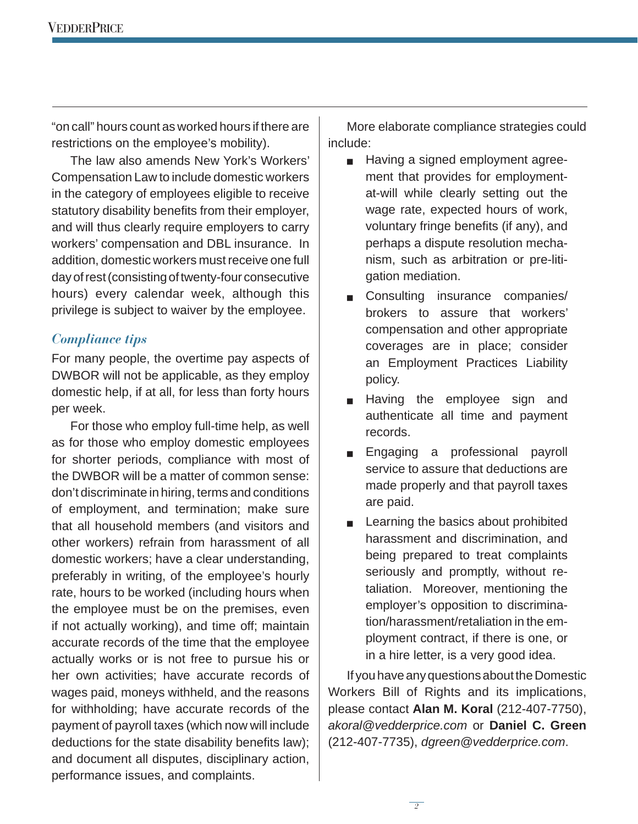"on call" hours count as worked hours if there are restrictions on the employee's mobility).

The law also amends New York's Workers' Compensation Law to include domestic workers in the category of employees eligible to receive statutory disability benefits from their employer, and will thus clearly require employers to carry workers' compensation and DBL insurance. In addition, domestic workers must receive one full day of rest (consisting of twenty-four consecutive hours) every calendar week, although this privilege is subject to waiver by the employee.

#### *Compliance tips*

For many people, the overtime pay aspects of DWBOR will not be applicable, as they employ domestic help, if at all, for less than forty hours per week.

For those who employ full-time help, as well as for those who employ domestic employees for shorter periods, compliance with most of the DWBOR will be a matter of common sense: don't discriminate in hiring, terms and conditions of employment, and termination; make sure that all household members (and visitors and other workers) refrain from harassment of all domestic workers; have a clear understanding, preferably in writing, of the employee's hourly rate, hours to be worked (including hours when the employee must be on the premises, even if not actually working), and time off; maintain accurate records of the time that the employee actually works or is not free to pursue his or her own activities; have accurate records of wages paid, moneys withheld, and the reasons for withholding; have accurate records of the payment of payroll taxes (which now will include deductions for the state disability benefits law); and document all disputes, disciplinary action, performance issues, and complaints.

More elaborate compliance strategies could include:

- $\Box$  Having a signed employment agreement that provides for employmentat-will while clearly setting out the wage rate, expected hours of work, voluntary fringe benefits (if any), and perhaps a dispute resolution mechanism, such as arbitration or pre-litigation mediation.
- Consulting insurance companies/ brokers to assure that workers' compensation and other appropriate coverages are in place; consider an Employment Practices Liability policy.
- **Ex Having the employee sign and** authenticate all time and payment records.
- **Engaging a professional payroll** service to assure that deductions are made properly and that payroll taxes are paid.
- $\blacksquare$  Learning the basics about prohibited harassment and discrimination, and being prepared to treat complaints seriously and promptly, without retaliation. Moreover, mentioning the employer's opposition to discrimination/harassment/retaliation in the employment contract, if there is one, or in a hire letter, is a very good idea.

If you have any questions about the Domestic Workers Bill of Rights and its implications, please contact **Alan M. Koral** (212-407-7750), *akoral@vedderprice.com* or **Daniel C. Green** (212-407-7735), *dgreen@vedderprice.com*.